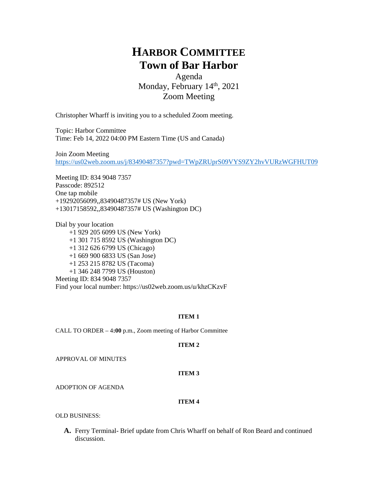# **HARBOR COMMITTEE Town of Bar Harbor**

Agenda Monday, February 14th, 2021 Zoom Meeting

Christopher Wharff is inviting you to a scheduled Zoom meeting.

Topic: Harbor Committee Time: Feb 14, 2022 04:00 PM Eastern Time (US and Canada)

Join Zoom Meeting <https://us02web.zoom.us/j/83490487357?pwd=TWpZRUprS09VYS9ZY2hvVURzWGFHUT09>

Meeting ID: 834 9048 7357 Passcode: 892512 One tap mobile +19292056099,,83490487357# US (New York) +13017158592,,83490487357# US (Washington DC)

Dial by your location +1 929 205 6099 US (New York) +1 301 715 8592 US (Washington DC) +1 312 626 6799 US (Chicago) +1 669 900 6833 US (San Jose) +1 253 215 8782 US (Tacoma) +1 346 248 7799 US (Houston) Meeting ID: 834 9048 7357 Find your local number: https://us02web.zoom.us/u/khzCKzvF

#### **ITEM 1**

CALL TO ORDER – 4**:00** p.m., Zoom meeting of Harbor Committee

#### **ITEM 2**

APPROVAL OF MINUTES

#### **ITEM 3**

ADOPTION OF AGENDA

#### **ITEM 4**

OLD BUSINESS:

**A.** Ferry Terminal- Brief update from Chris Wharff on behalf of Ron Beard and continued discussion.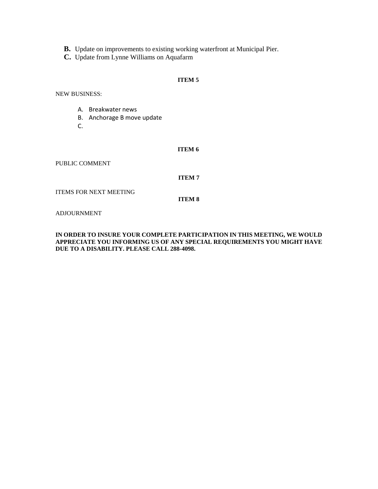- **B.** Update on improvements to existing working waterfront at Municipal Pier.
- **C.** Update from Lynne Williams on Aquafarm

### **ITEM 5**

NEW BUSINESS:

- A. Breakwater news
- B. Anchorage B move update
- C.

#### **ITEM 6**

PUBLIC COMMENT

#### **ITEM 7**

ITEMS FOR NEXT MEETING

**ITEM 8**

ADJOURNMENT

#### **IN ORDER TO INSURE YOUR COMPLETE PARTICIPATION IN THIS MEETING, WE WOULD APPRECIATE YOU INFORMING US OF ANY SPECIAL REQUIREMENTS YOU MIGHT HAVE DUE TO A DISABILITY. PLEASE CALL 288-4098.**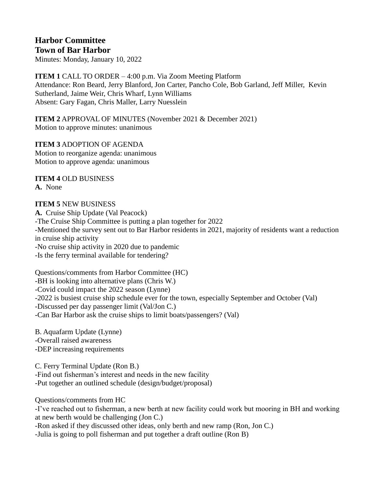## **Harbor Committee Town of Bar Harbor**

Minutes: Monday, January 10, 2022

**ITEM 1** CALL TO ORDER – 4:00 p.m. Via Zoom Meeting Platform Attendance: Ron Beard, Jerry Blanford, Jon Carter, Pancho Cole, Bob Garland, Jeff Miller, Kevin Sutherland, Jaime Weir, Chris Wharf, Lynn Williams Absent: Gary Fagan, Chris Maller, Larry Nuesslein

**ITEM 2** APPROVAL OF MINUTES (November 2021 & December 2021) Motion to approve minutes: unanimous

**ITEM 3** ADOPTION OF AGENDA Motion to reorganize agenda: unanimous Motion to approve agenda: unanimous

**ITEM 4** OLD BUSINESS **A.** None

## **ITEM 5** NEW BUSINESS

**A.** Cruise Ship Update (Val Peacock) -The Cruise Ship Committee is putting a plan together for 2022 -Mentioned the survey sent out to Bar Harbor residents in 2021, majority of residents want a reduction in cruise ship activity -No cruise ship activity in 2020 due to pandemic -Is the ferry terminal available for tendering?

Questions/comments from Harbor Committee (HC) -BH is looking into alternative plans (Chris W.) -Covid could impact the 2022 season (Lynne) -2022 is busiest cruise ship schedule ever for the town, especially September and October (Val) -Discussed per day passenger limit (Val/Jon C.) -Can Bar Harbor ask the cruise ships to limit boats/passengers? (Val)

B. Aquafarm Update (Lynne) -Overall raised awareness -DEP increasing requirements

C. Ferry Terminal Update (Ron B.) -Find out fisherman's interest and needs in the new facility -Put together an outlined schedule (design/budget/proposal)

Questions/comments from HC

-I've reached out to fisherman, a new berth at new facility could work but mooring in BH and working at new berth would be challenging (Jon C.)

-Ron asked if they discussed other ideas, only berth and new ramp (Ron, Jon C.)

-Julia is going to poll fisherman and put together a draft outline (Ron B)